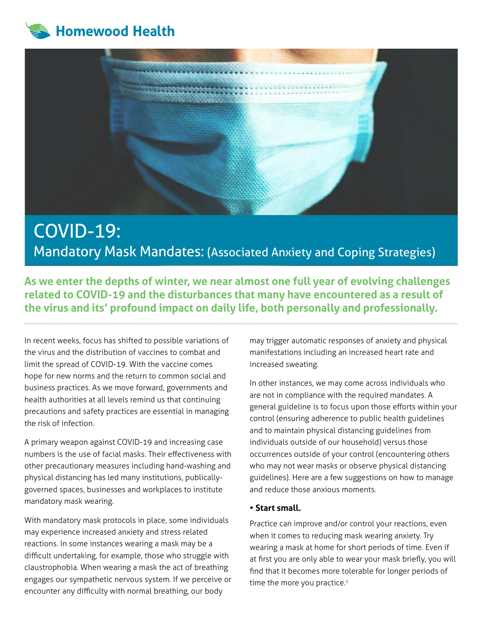**Homewood Health** 

# COVID-19: Mandatory Mask Mandates: (Associated Anxiety and Coping Strategies)

**As we enter the depths of winter, we near almost one full year of evolving challenges related to COVID-19 and the disturbances that many have encountered as a result of the virus and its' profound impact on daily life, both personally and professionally.**

In recent weeks, focus has shifted to possible variations of the virus and the distribution of vaccines to combat and limit the spread of COVID-19. With the vaccine comes hope for new norms and the return to common social and business practices. As we move forward, governments and health authorities at all levels remind us that continuing precautions and safety practices are essential in managing the risk of infection.

A primary weapon against COVID-19 and increasing case numbers is the use of facial masks. Their effectiveness with other precautionary measures including hand-washing and physical distancing has led many institutions, publicallygoverned spaces, businesses and workplaces to institute mandatory mask wearing.

With mandatory mask protocols in place, some individuals may experience increased anxiety and stress related reactions. In some instances wearing a mask may be a difficult undertaking, for example, those who struggle with claustrophobia. When wearing a mask the act of breathing engages our sympathetic nervous system. If we perceive or encounter any difficulty with normal breathing, our body

may trigger automatic responses of anxiety and physical manifestations including an increased heart rate and increased sweating.

In other instances, we may come across individuals who are not in compliance with the required mandates. A general guideline is to focus upon those efforts within your control (ensuring adherence to public health guidelines and to maintain physical distancing guidelines from individuals outside of our household) versus those occurrences outside of your control (encountering others who may not wear masks or observe physical distancing guidelines). Here are a few suggestions on how to manage and reduce those anxious moments.

#### **• Start small.**

Practice can improve and/or control your reactions, even when it comes to reducing mask wearing anxiety. Try wearing a mask at home for short periods of time. Even if at first you are only able to wear your mask briefly, you will find that it becomes more tolerable for longer periods of time the more you practice.<sup>1</sup>